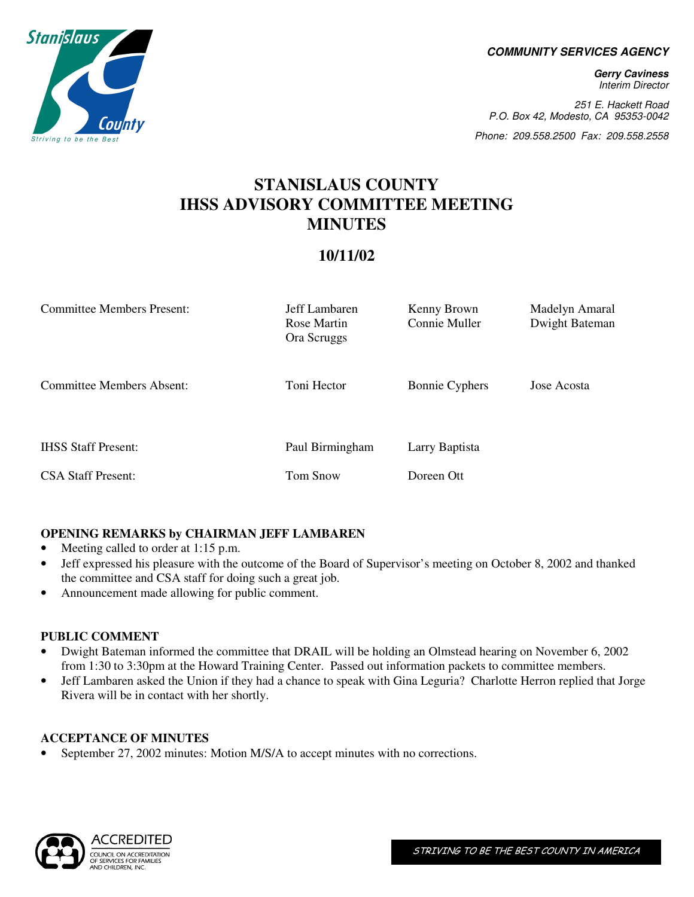**COMMUNITY SERVICES AGENCY** 

**Gerry Caviness**  Interim Director

251 E. Hackett Road P.O. Box 42, Modesto, CA 95353-0042

Phone: 209.558.2500 Fax: 209.558.2558

# **STANISLAUS COUNTY IHSS ADVISORY COMMITTEE MEETING MINUTES**

# **10/11/02**

| <b>Committee Members Present:</b> | Jeff Lambaren<br>Rose Martin<br>Ora Scruggs | Kenny Brown<br>Connie Muller | Madelyn Amaral<br>Dwight Bateman |
|-----------------------------------|---------------------------------------------|------------------------------|----------------------------------|
| <b>Committee Members Absent:</b>  | Toni Hector                                 | <b>Bonnie Cyphers</b>        | Jose Acosta                      |
| <b>IHSS Staff Present:</b>        | Paul Birmingham                             | Larry Baptista               |                                  |
| <b>CSA Staff Present:</b>         | <b>Tom Snow</b>                             | Doreen Ott                   |                                  |

# **OPENING REMARKS by CHAIRMAN JEFF LAMBAREN**

- Meeting called to order at 1:15 p.m.
- Jeff expressed his pleasure with the outcome of the Board of Supervisor's meeting on October 8, 2002 and thanked the committee and CSA staff for doing such a great job.
- Announcement made allowing for public comment.

# **PUBLIC COMMENT**

- Dwight Bateman informed the committee that DRAIL will be holding an Olmstead hearing on November 6, 2002 from 1:30 to 3:30pm at the Howard Training Center. Passed out information packets to committee members.
- Jeff Lambaren asked the Union if they had a chance to speak with Gina Leguria? Charlotte Herron replied that Jorge Rivera will be in contact with her shortly.

# **ACCEPTANCE OF MINUTES**

• September 27, 2002 minutes: Motion M/S/A to accept minutes with no corrections.



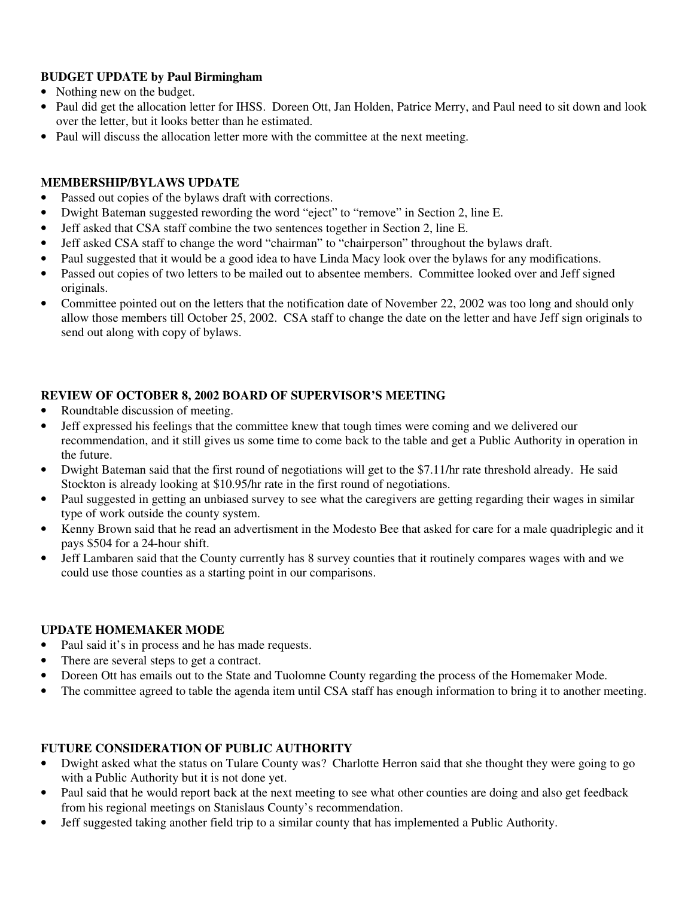# **BUDGET UPDATE by Paul Birmingham**

- Nothing new on the budget.
- Paul did get the allocation letter for IHSS. Doreen Ott, Jan Holden, Patrice Merry, and Paul need to sit down and look over the letter, but it looks better than he estimated.
- Paul will discuss the allocation letter more with the committee at the next meeting.

### **MEMBERSHIP/BYLAWS UPDATE**

- Passed out copies of the bylaws draft with corrections.
- Dwight Bateman suggested rewording the word "eject" to "remove" in Section 2, line E.
- Jeff asked that CSA staff combine the two sentences together in Section 2, line E.
- Jeff asked CSA staff to change the word "chairman" to "chairperson" throughout the bylaws draft.
- Paul suggested that it would be a good idea to have Linda Macy look over the bylaws for any modifications.
- Passed out copies of two letters to be mailed out to absentee members. Committee looked over and Jeff signed originals.
- Committee pointed out on the letters that the notification date of November 22, 2002 was too long and should only allow those members till October 25, 2002. CSA staff to change the date on the letter and have Jeff sign originals to send out along with copy of bylaws.

# **REVIEW OF OCTOBER 8, 2002 BOARD OF SUPERVISOR'S MEETING**

- Roundtable discussion of meeting.
- Jeff expressed his feelings that the committee knew that tough times were coming and we delivered our recommendation, and it still gives us some time to come back to the table and get a Public Authority in operation in the future.
- Dwight Bateman said that the first round of negotiations will get to the \$7.11/hr rate threshold already. He said Stockton is already looking at \$10.95/hr rate in the first round of negotiations.
- Paul suggested in getting an unbiased survey to see what the caregivers are getting regarding their wages in similar type of work outside the county system.
- Kenny Brown said that he read an advertisment in the Modesto Bee that asked for care for a male quadriplegic and it pays \$504 for a 24-hour shift.
- Jeff Lambaren said that the County currently has 8 survey counties that it routinely compares wages with and we could use those counties as a starting point in our comparisons.

#### **UPDATE HOMEMAKER MODE**

- Paul said it's in process and he has made requests.
- There are several steps to get a contract.
- Doreen Ott has emails out to the State and Tuolomne County regarding the process of the Homemaker Mode.
- The committee agreed to table the agenda item until CSA staff has enough information to bring it to another meeting.

#### **FUTURE CONSIDERATION OF PUBLIC AUTHORITY**

- Dwight asked what the status on Tulare County was? Charlotte Herron said that she thought they were going to go with a Public Authority but it is not done yet.
- Paul said that he would report back at the next meeting to see what other counties are doing and also get feedback from his regional meetings on Stanislaus County's recommendation.
- Jeff suggested taking another field trip to a similar county that has implemented a Public Authority.